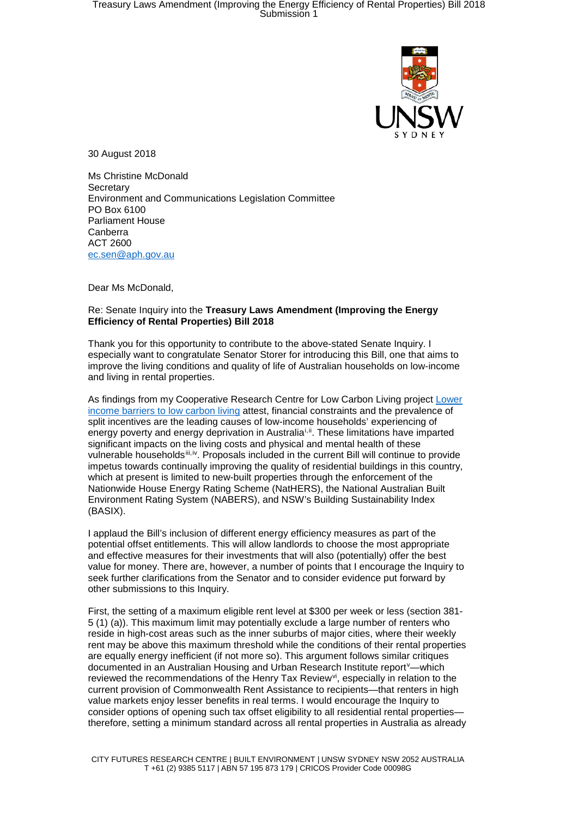

30 August 2018

Ms Christine McDonald **Secretary** Environment and Communications Legislation Committee PO Box 6100 Parliament House Canberra ACT 2600 [ec.sen@aph.gov.au](mailto:ec.sen@aph.gov.au)

Dear Ms McDonald,

## Re: Senate Inquiry into the **Treasury Laws Amendment (Improving the Energy Efficiency of Rental Properties) Bill 2018**

Thank you for this opportunity to contribute to the above-stated Senate Inquiry. I especially want to congratulate Senator Storer for introducing this Bill, one that aims to improve the living conditions and quality of life of Australian households on low-income and living in rental properties.

As findings from my Cooperative Research Centre for Low Carbon Living project [Lower](http://www.lowcarbonlivingcrc.com.au/research/program-3-engaged-communities/rp3038-lower-income-barriers-low-carbon-living)  [income barriers to low carbon living](http://www.lowcarbonlivingcrc.com.au/research/program-3-engaged-communities/rp3038-lower-income-barriers-low-carbon-living) attest, financial constraints and the prevalence of split incentives are the leading causes of low-income households' experiencing of energy poverty and energy deprivation in Australia<sup>[i,](#page-2-0) [ii](#page-2-1)</sup>. These limitations have imparted significant impacts on the living costs and physical and mental health of these vulnerable households[iii,](#page-2-2)[iv](#page-2-3). Proposals included in the current Bill will continue to provide impetus towards continually improving the quality of residential buildings in this country, which at present is limited to new-built properties through the enforcement of the Nationwide House Energy Rating Scheme (NatHERS), the National Australian Built Environment Rating System (NABERS), and NSW's Building Sustainability Index (BASIX).

I applaud the Bill's inclusion of different energy efficiency measures as part of the potential offset entitlements. This will allow landlords to choose the most appropriate and effective measures for their investments that will also (potentially) offer the best value for money. There are, however, a number of points that I encourage the Inquiry to seek further clarifications from the Senator and to consider evidence put forward by other submissions to this Inquiry.

First, the setting of a maximum eligible rent level at \$300 per week or less (section 381- 5 (1) (a)). This maximum limit may potentially exclude a large number of renters who reside in high-cost areas such as the inner suburbs of major cities, where their weekly rent may be above this maximum threshold while the conditions of their rental properties are equally energy inefficient (if not more so). This argument follows similar critiques documented in an Australian Housing and Urban Research Institute report<sup>[v](#page-2-4)</sup>—which re[vi](#page-2-5)ewed the recommendations of the Henry Tax Review<sup>vi</sup>, especially in relation to the current provision of Commonwealth Rent Assistance to recipients—that renters in high value markets enjoy lesser benefits in real terms. I would encourage the Inquiry to consider options of opening such tax offset eligibility to all residential rental propertiestherefore, setting a minimum standard across all rental properties in Australia as already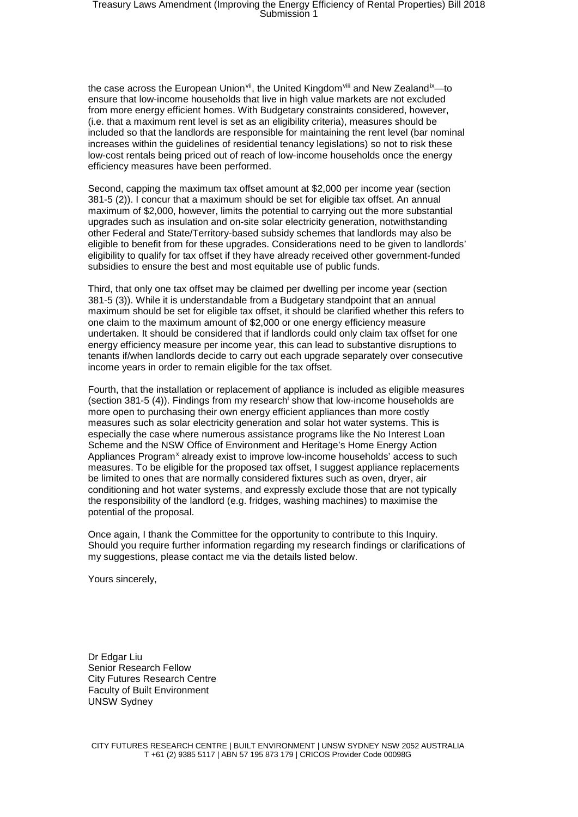the case across the European Union<sup>[vii](#page-2-6)</sup>, the United Kingdom<sup>[viii](#page-2-7)</sup> and New Zealand<sup>ix</sup>—to ensure that low-income households that live in high value markets are not excluded from more energy efficient homes. With Budgetary constraints considered, however, (i.e. that a maximum rent level is set as an eligibility criteria), measures should be included so that the landlords are responsible for maintaining the rent level (bar nominal increases within the guidelines of residential tenancy legislations) so not to risk these low-cost rentals being priced out of reach of low-income households once the energy efficiency measures have been performed.

Second, capping the maximum tax offset amount at \$2,000 per income year (section 381-5 (2)). I concur that a maximum should be set for eligible tax offset. An annual maximum of \$2,000, however, limits the potential to carrying out the more substantial upgrades such as insulation and on-site solar electricity generation, notwithstanding other Federal and State/Territory-based subsidy schemes that landlords may also be eligible to benefit from for these upgrades. Considerations need to be given to landlords' eligibility to qualify for tax offset if they have already received other government-funded subsidies to ensure the best and most equitable use of public funds.

Third, that only one tax offset may be claimed per dwelling per income year (section 381-5 (3)). While it is understandable from a Budgetary standpoint that an annual maximum should be set for eligible tax offset, it should be clarified whether this refers to one claim to the maximum amount of \$2,000 or one energy efficiency measure undertaken. It should be considered that if landlords could only claim tax offset for one energy efficiency measure per income year, this can lead to substantive disruptions to tenants if/when landlords decide to carry out each upgrade separately over consecutive income years in order to remain eligible for the tax offset.

Fourth, that the installation or replacement of appliance is included as eligible measures (section 381-5 (4)). Findings from my research<sup>i</sup> show that low-income households are more open to purchasing their own energy efficient appliances than more costly measures such as solar electricity generation and solar hot water systems. This is especially the case where numerous assistance programs like the No Interest Loan Scheme and the NSW Office of Environment and Heritage's Home Energy Action Appliances Program<sup>[x](#page-2-9)</sup> already exist to improve low-income households' access to such measures. To be eligible for the proposed tax offset, I suggest appliance replacements be limited to ones that are normally considered fixtures such as oven, dryer, air conditioning and hot water systems, and expressly exclude those that are not typically the responsibility of the landlord (e.g. fridges, washing machines) to maximise the potential of the proposal.

Once again, I thank the Committee for the opportunity to contribute to this Inquiry. Should you require further information regarding my research findings or clarifications of my suggestions, please contact me via the details listed below.

Yours sincerely,

Dr Edgar Liu Senior Research Fellow City Futures Research Centre Faculty of Built Environment UNSW Sydney